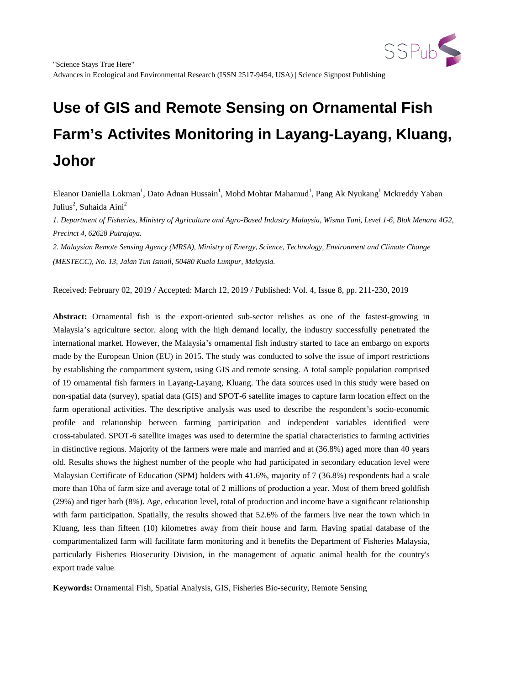

Eleanor Daniella Lokman<sup>1</sup>, Dato Adnan Hussain<sup>1</sup>, Mohd Mohtar Mahamud<sup>1</sup>, Pang Ak Nyukang<sup>1</sup> Mckreddy Yaban Julius<sup>2</sup>, Suhaida Aini<sup>2</sup>

*1. Department of Fisheries, Ministry of Agriculture and Agro-Based Industry Malaysia, Wisma Tani, Level 1-6, Blok Menara 4G2, Precinct 4, 62628 Putrajaya.*

*2. Malaysian Remote Sensing Agency (MRSA), Ministry of Energy, Science, Technology, Environment and Climate Change (MESTECC), No. 13, Jalan Tun Ismail, 50480 Kuala Lumpur, Malaysia.*

Received: February 02, 2019 / Accepted: March 12, 2019 / Published: Vol. 4, Issue 8, pp. 211-230, 2019

**Abstract:** Ornamental fish is the export-oriented sub-sector relishes as one of the fastest-growing in Malaysia's agriculture sector. along with the high demand locally, the industry successfully penetrated the international market. However, the Malaysia's ornamental fish industry started to face an embargo on exports made by the European Union (EU) in 2015. The study was conducted to solve the issue of import restrictions by establishing the compartment system, using GIS and remote sensing. A total sample population comprised of 19 ornamental fish farmers in Layang-Layang, Kluang. The data sources used in this study were based on non-spatial data (survey), spatial data (GIS) and SPOT-6 satellite images to capture farm location effect on the farm operational activities. The descriptive analysis was used to describe the respondent's socio-economic profile and relationship between farming participation and independent variables identified were cross-tabulated. SPOT-6 satellite images was used to determine the spatial characteristics to farming activities in distinctive regions. Majority of the farmers were male and married and at (36.8%) aged more than 40 years old. Results shows the highest number of the people who had participated in secondary education level were Malaysian Certificate of Education (SPM) holders with 41.6%, majority of 7 (36.8%) respondents had a scale more than 10ha of farm size and average total of 2 millions of production a year. Most of them breed goldfish (29%) and tiger barb (8%). Age, education level, total of production and income have a significant relationship with farm participation. Spatially, the results showed that 52.6% of the farmers live near the town which in Kluang, less than fifteen (10) kilometres away from their house and farm. Having spatial database of the compartmentalized farm will facilitate farm monitoring and it benefits the Department of Fisheries Malaysia, particularly Fisheries Biosecurity Division, in the management of aquatic animal health for the country's export trade value.

**Keywords:** Ornamental Fish, Spatial Analysis, GIS, Fisheries Bio-security, Remote Sensing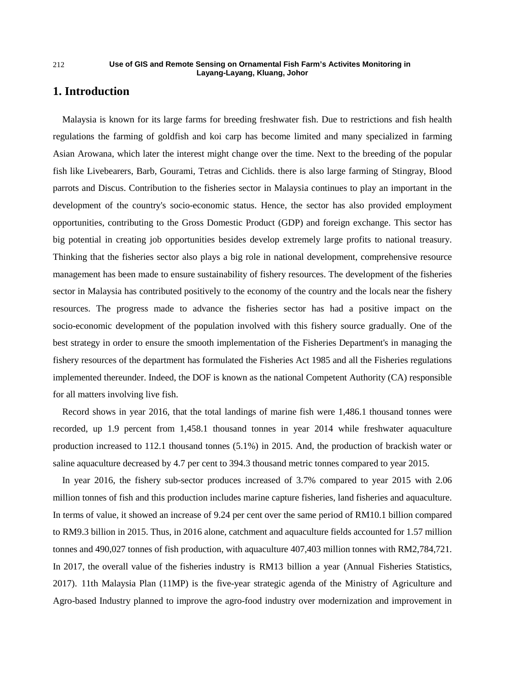## **1. Introduction**

Malaysia is known for its large farms for breeding freshwater fish. Due to restrictions and fish health regulations the farming of goldfish and koi carp has become limited and many specialized in farming Asian Arowana, which later the interest might change over the time. Next to the breeding of the popular fish like Livebearers, Barb, Gourami, Tetras and Cichlids. there is also large farming of Stingray, Blood parrots and Discus. Contribution to the fisheries sector in Malaysia continues to play an important in the development of the country's socio-economic status. Hence, the sector has also provided employment opportunities, contributing to the Gross Domestic Product (GDP) and foreign exchange. This sector has big potential in creating job opportunities besides develop extremely large profits to national treasury. Thinking that the fisheries sector also plays a big role in national development, comprehensive resource management has been made to ensure sustainability of fishery resources. The development of the fisheries sector in Malaysia has contributed positively to the economy of the country and the locals near the fishery resources. The progress made to advance the fisheries sector has had a positive impact on the socio-economic development of the population involved with this fishery source gradually. One of the best strategy in order to ensure the smooth implementation of the Fisheries Department's in managing the fishery resources of the department has formulated the Fisheries Act 1985 and all the Fisheries regulations implemented thereunder. Indeed, the DOF is known as the national Competent Authority (CA) responsible for all matters involving live fish.

Record shows in year 2016, that the total landings of marine fish were 1,486.1 thousand tonnes were recorded, up 1.9 percent from 1,458.1 thousand tonnes in year 2014 while freshwater aquaculture production increased to 112.1 thousand tonnes (5.1%) in 2015. And, the production of brackish water or saline aquaculture decreased by 4.7 per cent to 394.3 thousand metric tonnes compared to year 2015.

In year 2016, the fishery sub-sector produces increased of 3.7% compared to year 2015 with 2.06 million tonnes of fish and this production includes marine capture fisheries, land fisheries and aquaculture. In terms of value, it showed an increase of 9.24 per cent over the same period of RM10.1 billion compared to RM9.3 billion in 2015. Thus, in 2016 alone, catchment and aquaculture fields accounted for 1.57 million tonnes and 490,027 tonnes of fish production, with aquaculture 407,403 million tonnes with RM2,784,721. In 2017, the overall value of the fisheries industry is RM13 billion a year (Annual Fisheries Statistics, 2017). 11th Malaysia Plan (11MP) is the five-year strategic agenda of the Ministry of Agriculture and Agro-based Industry planned to improve the agro-food industry over modernization and improvement in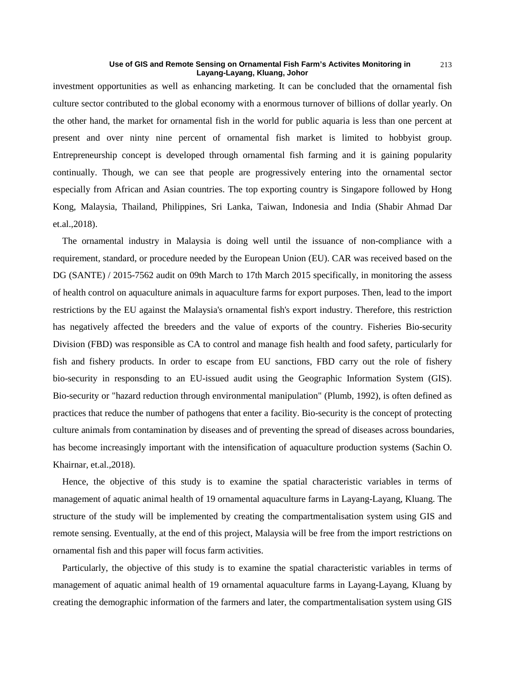investment opportunities as well as enhancing marketing. It can be concluded that the ornamental fish culture sector contributed to the global economy with a enormous turnover of billions of dollar yearly. On the other hand, the market for ornamental fish in the world for public aquaria is less than one percent at present and over ninty nine percent of ornamental fish market is limited to hobbyist group. Entrepreneurship concept is developed through ornamental fish farming and it is gaining popularity continually. Though, we can see that people are progressively entering into the ornamental sector especially from African and Asian countries. The top exporting country is Singapore followed by Hong Kong, Malaysia, Thailand, Philippines, Sri Lanka, Taiwan, Indonesia and India (Shabir Ahmad Dar et.al.,2018).

The ornamental industry in Malaysia is doing well until the issuance of non-compliance with a requirement, standard, or procedure needed by the European Union (EU). CAR was received based on the DG (SANTE) / 2015-7562 audit on 09th March to 17th March 2015 specifically, in monitoring the assess of health control on aquaculture animals in aquaculture farms for export purposes. Then, lead to the import restrictions by the EU against the Malaysia's ornamental fish's export industry. Therefore, this restriction has negatively affected the breeders and the value of exports of the country. Fisheries Bio-security Division (FBD) was responsible as CA to control and manage fish health and food safety, particularly for fish and fishery products. In order to escape from EU sanctions, FBD carry out the role of fishery bio-security in responsding to an EU-issued audit using the Geographic Information System (GIS). Bio-security or "hazard reduction through environmental manipulation" (Plumb, 1992), is often defined as practices that reduce the number of pathogens that enter a facility. Bio-security is the concept of protecting culture animals from contamination by diseases and of preventing the spread of diseases across boundaries, has become increasingly important with the intensification of aquaculture production systems (Sachin O. Khairnar, et.al.,2018).

Hence, the objective of this study is to examine the spatial characteristic variables in terms of management of aquatic animal health of 19 ornamental aquaculture farms in Layang-Layang, Kluang. The structure of the study will be implemented by creating the compartmentalisation system using GIS and remote sensing. Eventually, at the end of this project, Malaysia will be free from the import restrictions on ornamental fish and this paper will focus farm activities.

Particularly, the objective of this study is to examine the spatial characteristic variables in terms of management of aquatic animal health of 19 ornamental aquaculture farms in Layang-Layang, Kluang by creating the demographic information of the farmers and later, the compartmentalisation system using GIS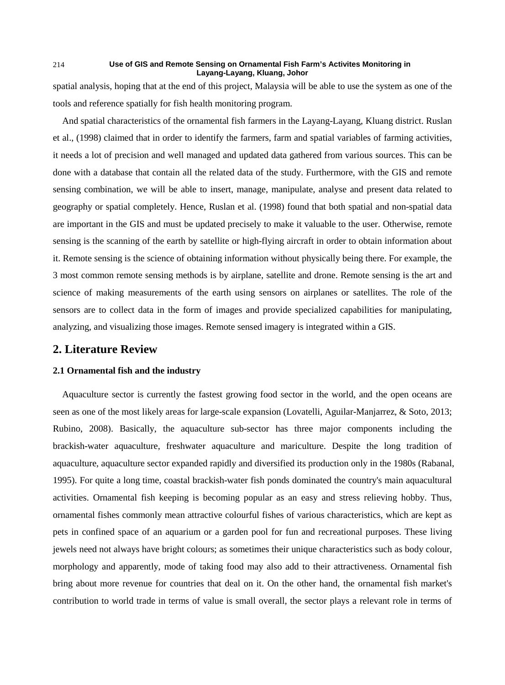spatial analysis, hoping that at the end of this project, Malaysia will be able to use the system as one of the tools and reference spatially for fish health monitoring program.

And spatial characteristics of the ornamental fish farmers in the Layang-Layang, Kluang district. Ruslan et al., (1998) claimed that in order to identify the farmers, farm and spatial variables of farming activities, it needs a lot of precision and well managed and updated data gathered from various sources. This can be done with a database that contain all the related data of the study. Furthermore, with the GIS and remote sensing combination, we will be able to insert, manage, manipulate, analyse and present data related to geography or spatial completely. Hence, Ruslan et al. (1998) found that both spatial and non-spatial data are important in the GIS and must be updated precisely to make it valuable to the user. Otherwise, remote sensing is the scanning of the earth by satellite or high-flying aircraft in order to obtain information about it. Remote sensing is the science of obtaining information without physically being there. For example, the 3 most common remote sensing methods is by airplane, satellite and drone. Remote sensing is the art and science of making measurements of the earth using sensors on airplanes or satellites. The role of the sensors are to collect data in the form of images and provide specialized capabilities for manipulating, analyzing, and visualizing those images. Remote sensed imagery is integrated within a GIS.

## **2. Literature Review**

## **2.1 Ornamental fish and the industry**

Aquaculture sector is currently the fastest growing food sector in the world, and the open oceans are seen as one of the most likely areas for large-scale expansion (Lovatelli, Aguilar-Manjarrez, & Soto, 2013; Rubino, 2008). Basically, the aquaculture sub-sector has three major components including the brackish-water aquaculture, freshwater aquaculture and mariculture. Despite the long tradition of aquaculture, aquaculture sector expanded rapidly and diversified its production only in the 1980s (Rabanal, 1995). For quite a long time, coastal brackish-water fish ponds dominated the country's main aquacultural activities. Ornamental fish keeping is becoming popular as an easy and stress relieving hobby. Thus, ornamental fishes commonly mean attractive colourful fishes of various characteristics, which are kept as pets in confined space of an aquarium or a garden pool for fun and recreational purposes. These living jewels need not always have bright colours; as sometimes their unique characteristics such as body colour, morphology and apparently, mode of taking food may also add to their attractiveness. Ornamental fish bring about more revenue for countries that deal on it. On the other hand, the ornamental fish market's contribution to world trade in terms of value is small overall, the sector plays a relevant role in terms of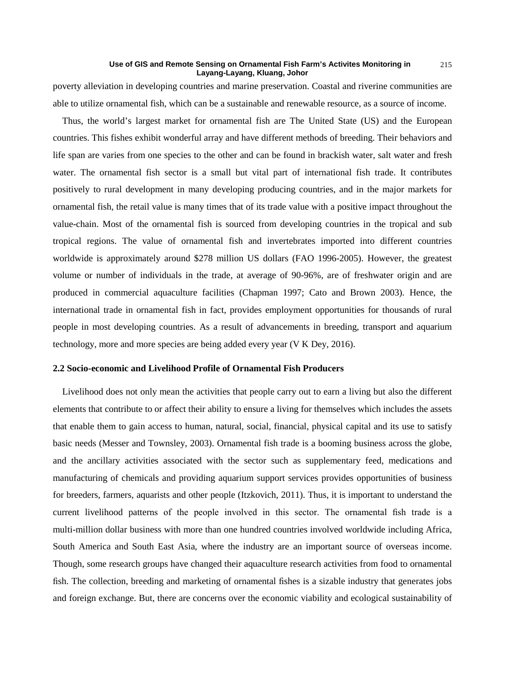poverty alleviation in developing countries and marine preservation. Coastal and riverine communities are able to utilize ornamental fish, which can be a sustainable and renewable resource, as a source of income.

Thus, the world's largest market for ornamental fish are The United State (US) and the European countries. This fishes exhibit wonderful array and have different methods of breeding. Their behaviors and life span are varies from one species to the other and can be found in brackish water, salt water and fresh water. The ornamental fish sector is a small but vital part of international fish trade. It contributes positively to rural development in many developing producing countries, and in the major markets for ornamental fish, the retail value is many times that of its trade value with a positive impact throughout the value-chain. Most of the ornamental fish is sourced from developing countries in the tropical and sub tropical regions. The value of ornamental fish and invertebrates imported into different countries worldwide is approximately around \$278 million US dollars (FAO 1996-2005). However, the greatest volume or number of individuals in the trade, at average of 90-96%, are of freshwater origin and are produced in commercial aquaculture facilities (Chapman 1997; Cato and Brown 2003). Hence, the international trade in ornamental fish in fact, provides employment opportunities for thousands of rural people in most developing countries. As a result of advancements in breeding, transport and aquarium technology, more and more species are being added every year (V K Dey, 2016).

## **2.2 Socio-economic and Livelihood Profile of Ornamental Fish Producers**

Livelihood does not only mean the activities that people carry out to earn a living but also the different elements that contribute to or affect their ability to ensure a living for themselves which includes the assets that enable them to gain access to human, natural, social, financial, physical capital and its use to satisfy basic needs (Messer and Townsley, 2003). Ornamental fish trade is a booming business across the globe, and the ancillary activities associated with the sector such as supplementary feed, medications and manufacturing of chemicals and providing aquarium support services provides opportunities of business for breeders, farmers, aquarists and other people (Itzkovich, 2011). Thus, it is important to understand the current livelihood patterns of the people involved in this sector. The ornamental fish trade is a multi-million dollar business with more than one hundred countries involved worldwide including Africa, South America and South East Asia, where the industry are an important source of overseas income. Though, some research groups have changed their aquaculture research activities from food to ornamental fish. The collection, breeding and marketing of ornamental fishes is a sizable industry that generates jobs and foreign exchange. But, there are concerns over the economic viability and ecological sustainability of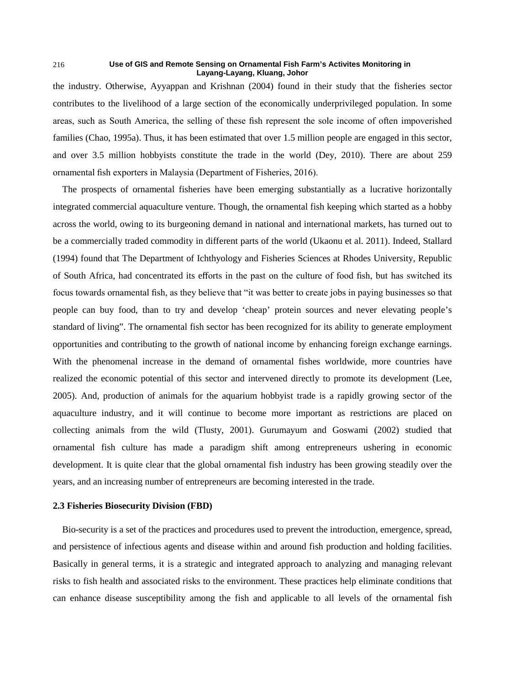the industry. Otherwise, Ayyappan and Krishnan (2004) found in their study that the fisheries sector contributes to the livelihood of a large section of the economically underprivileged population. In some areas, such as South America, the selling of these fish represent the sole income of often impoverished families (Chao, 1995a). Thus, it has been estimated that over 1.5 million people are engaged in this sector, and over 3.5 million hobbyists constitute the trade in the world (Dey, 2010). There are about 259 ornamental fish exporters in Malaysia (Department of Fisheries, 2016).

The prospects of ornamental fisheries have been emerging substantially as a lucrative horizontally integrated commercial aquaculture venture. Though, the ornamental fish keeping which started as a hobby across the world, owing to its burgeoning demand in national and international markets, has turned out to be a commercially traded commodity in different parts of the world (Ukaonu et al. 2011). Indeed, Stallard (1994) found that The Department of Ichthyology and Fisheries Sciences at Rhodes University, Republic of South Africa, had concentrated its efforts in the past on the culture of food fish, but has switched its focus towards ornamental fish, as they believe that "it was better to create jobs in paying businesses so that people can buy food, than to try and develop 'cheap' protein sources and never elevating people's standard of living". The ornamental fish sector has been recognized for its ability to generate employment opportunities and contributing to the growth of national income by enhancing foreign exchange earnings. With the phenomenal increase in the demand of ornamental fishes worldwide, more countries have realized the economic potential of this sector and intervened directly to promote its development (Lee, 2005). And, production of animals for the aquarium hobbyist trade is a rapidly growing sector of the aquaculture industry, and it will continue to become more important as restrictions are placed on collecting animals from the wild (Tlusty, 2001). Gurumayum and Goswami (2002) studied that ornamental fish culture has made a paradigm shift among entrepreneurs ushering in economic development. It is quite clear that the global ornamental fish industry has been growing steadily over the years, and an increasing number of entrepreneurs are becoming interested in the trade.

## **2.3 Fisheries Biosecurity Division (FBD)**

Bio-security is a set of the practices and procedures used to prevent the introduction, emergence, spread, and persistence of infectious agents and disease within and around fish production and holding facilities. Basically in general terms, it is a strategic and integrated approach to analyzing and managing relevant risks to fish health and associated risks to the environment. These practices help eliminate conditions that can enhance disease susceptibility among the fish and applicable to all levels of the ornamental fish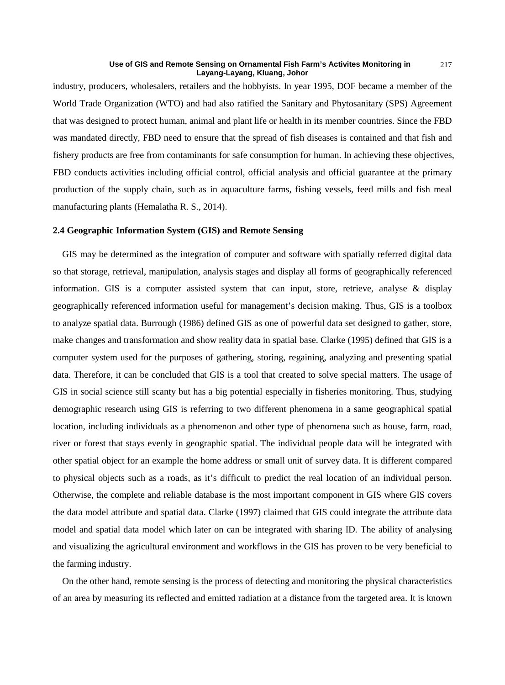industry, producers, wholesalers, retailers and the hobbyists. In year 1995, DOF became a member of the World Trade Organization (WTO) and had also ratified the Sanitary and Phytosanitary (SPS) Agreement that was designed to protect human, animal and plant life or health in its member countries. Since the FBD was mandated directly, FBD need to ensure that the spread of fish diseases is contained and that fish and fishery products are free from contaminants for safe consumption for human. In achieving these objectives, FBD conducts activities including official control, official analysis and official guarantee at the primary production of the supply chain, such as in aquaculture farms, fishing vessels, feed mills and fish meal manufacturing plants (Hemalatha R. S., 2014).

## **2.4 Geographic Information System (GIS) and Remote Sensing**

GIS may be determined as the integration of computer and software with spatially referred digital data so that storage, retrieval, manipulation, analysis stages and display all forms of geographically referenced information. GIS is a computer assisted system that can input, store, retrieve, analyse  $\&$  display geographically referenced information useful for management's decision making. Thus, GIS is a toolbox to analyze spatial data. Burrough (1986) defined GIS as one of powerful data set designed to gather, store, make changes and transformation and show reality data in spatial base. Clarke (1995) defined that GIS is a computer system used for the purposes of gathering, storing, regaining, analyzing and presenting spatial data. Therefore, it can be concluded that GIS is a tool that created to solve special matters. The usage of GIS in social science still scanty but has a big potential especially in fisheries monitoring. Thus, studying demographic research using GIS is referring to two different phenomena in a same geographical spatial location, including individuals as a phenomenon and other type of phenomena such as house, farm, road, river or forest that stays evenly in geographic spatial. The individual people data will be integrated with other spatial object for an example the home address or small unit of survey data. It is different compared to physical objects such as a roads, as it's difficult to predict the real location of an individual person. Otherwise, the complete and reliable database is the most important component in GIS where GIS covers the data model attribute and spatial data. Clarke (1997) claimed that GIS could integrate the attribute data model and spatial data model which later on can be integrated with sharing ID. The ability of analysing and visualizing the agricultural environment and workflows in the GIS has proven to be very beneficial to the farming industry.

On the other hand, remote sensing is the process of detecting and monitoring the physical characteristics of an area by measuring its reflected and emitted radiation at a distance from the targeted area. It is known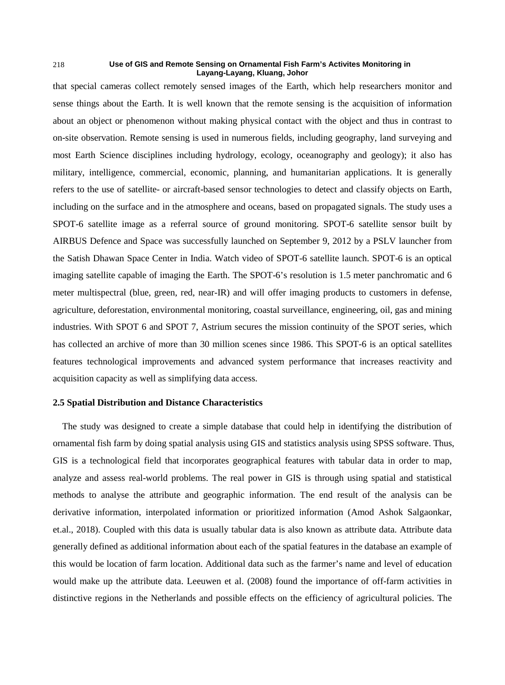that special cameras collect remotely sensed images of the Earth, which help researchers monitor and sense things about the Earth. It is well known that the remote sensing is the acquisition of information about an object or phenomenon without making physical contact with the object and thus in contrast to on-site observation. Remote sensing is used in numerous fields, including geography, land surveying and most Earth Science disciplines including hydrology, ecology, oceanography and geology); it also has military, intelligence, commercial, economic, planning, and humanitarian applications. It is generally refers to the use of satellite- or aircraft-based sensor technologies to detect and classify objects on Earth, including on the surface and in the atmosphere and oceans, based on propagated signals. The study uses a SPOT-6 satellite image as a referral source of ground monitoring. SPOT-6 satellite sensor built by AIRBUS Defence and Space was successfully launched on September 9, 2012 by a PSLV launcher from the Satish Dhawan Space Center in India. Watch video of SPOT-6 satellite launch. SPOT-6 is an optical imaging satellite capable of imaging the Earth. The SPOT-6's resolution is 1.5 meter panchromatic and 6 meter multispectral (blue, green, red, near-IR) and will offer imaging products to customers in defense, agriculture, deforestation, environmental monitoring, coastal surveillance, engineering, oil, gas and mining industries. With SPOT 6 and SPOT 7, Astrium secures the mission continuity of the SPOT series, which has collected an archive of more than 30 million scenes since 1986. This SPOT-6 is an optical satellites features technological improvements and advanced system performance that increases reactivity and acquisition capacity as well as simplifying data access.

## **2.5 Spatial Distribution and Distance Characteristics**

The study was designed to create a simple database that could help in identifying the distribution of ornamental fish farm by doing spatial analysis using GIS and statistics analysis using SPSS software. Thus, GIS is a technological field that incorporates geographical features with tabular data in order to map, analyze and assess real-world problems. The real power in GIS is through using spatial and statistical methods to analyse the attribute and geographic information. The end result of the analysis can be derivative information, interpolated information or prioritized information (Amod Ashok Salgaonkar, et.al., 2018). Coupled with this data is usually tabular data is also known as attribute data. Attribute data generally defined as additional information about each of the spatial features in the database an example of this would be location of farm location. Additional data such as the farmer's name and level of education would make up the attribute data. Leeuwen et al. (2008) found the importance of off-farm activities in distinctive regions in the Netherlands and possible effects on the efficiency of agricultural policies. The

218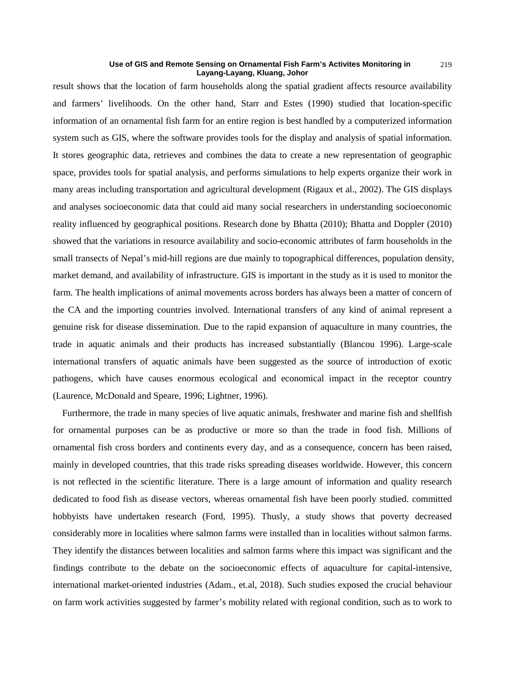result shows that the location of farm households along the spatial gradient affects resource availability and farmers' livelihoods. On the other hand, Starr and Estes (1990) studied that location-specific information of an ornamental fish farm for an entire region is best handled by a computerized information system such as GIS, where the software provides tools for the display and analysis of spatial information. It stores geographic data, retrieves and combines the data to create a new representation of geographic space, provides tools for spatial analysis, and performs simulations to help experts organize their work in many areas including transportation and agricultural development (Rigaux et al., 2002). The GIS displays and analyses socioeconomic data that could aid many social researchers in understanding socioeconomic reality influenced by geographical positions. Research done by Bhatta (2010); Bhatta and Doppler (2010) showed that the variations in resource availability and socio-economic attributes of farm households in the small transects of Nepal's mid-hill regions are due mainly to topographical differences, population density, market demand, and availability of infrastructure. GIS is important in the study as it is used to monitor the farm. The health implications of animal movements across borders has always been a matter of concern of the CA and the importing countries involved. International transfers of any kind of animal represent a genuine risk for disease dissemination. Due to the rapid expansion of aquaculture in many countries, the trade in aquatic animals and their products has increased substantially (Blancou 1996). Large-scale international transfers of aquatic animals have been suggested as the source of introduction of exotic pathogens, which have causes enormous ecological and economical impact in the receptor country (Laurence, McDonald and Speare, 1996; Lightner, 1996).

Furthermore, the trade in many species of live aquatic animals, freshwater and marine fish and shellfish for ornamental purposes can be as productive or more so than the trade in food fish. Millions of ornamental fish cross borders and continents every day, and as a consequence, concern has been raised, mainly in developed countries, that this trade risks spreading diseases worldwide. However, this concern is not reflected in the scientific literature. There is a large amount of information and quality research dedicated to food fish as disease vectors, whereas ornamental fish have been poorly studied. committed hobbyists have undertaken research (Ford, 1995). Thusly, a study shows that poverty decreased considerably more in localities where salmon farms were installed than in localities without salmon farms. They identify the distances between localities and salmon farms where this impact was significant and the findings contribute to the debate on the socioeconomic effects of aquaculture for capital-intensive, international market-oriented industries (Adam., et.al, 2018). Such studies exposed the crucial behaviour on farm work activities suggested by farmer's mobility related with regional condition, such as to work to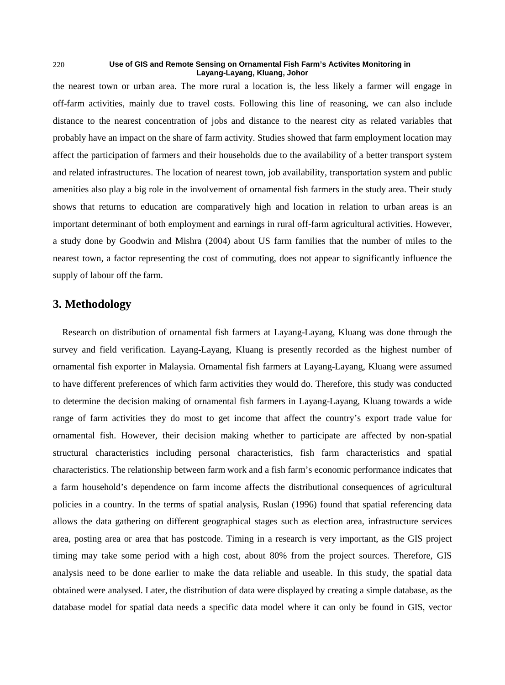the nearest town or urban area. The more rural a location is, the less likely a farmer will engage in off-farm activities, mainly due to travel costs. Following this line of reasoning, we can also include distance to the nearest concentration of jobs and distance to the nearest city as related variables that probably have an impact on the share of farm activity. Studies showed that farm employment location may affect the participation of farmers and their households due to the availability of a better transport system and related infrastructures. The location of nearest town, job availability, transportation system and public amenities also play a big role in the involvement of ornamental fish farmers in the study area. Their study shows that returns to education are comparatively high and location in relation to urban areas is an important determinant of both employment and earnings in rural off-farm agricultural activities. However, a study done by Goodwin and Mishra (2004) about US farm families that the number of miles to the nearest town, a factor representing the cost of commuting, does not appear to significantly influence the supply of labour off the farm.

# **3. Methodology**

Research on distribution of ornamental fish farmers at Layang-Layang, Kluang was done through the survey and field verification. Layang-Layang, Kluang is presently recorded as the highest number of ornamental fish exporter in Malaysia. Ornamental fish farmers at Layang-Layang, Kluang were assumed to have different preferences of which farm activities they would do. Therefore, this study was conducted to determine the decision making of ornamental fish farmers in Layang-Layang, Kluang towards a wide range of farm activities they do most to get income that affect the country's export trade value for ornamental fish. However, their decision making whether to participate are affected by non-spatial structural characteristics including personal characteristics, fish farm characteristics and spatial characteristics. The relationship between farm work and a fish farm's economic performance indicates that a farm household's dependence on farm income affects the distributional consequences of agricultural policies in a country. In the terms of spatial analysis, Ruslan (1996) found that spatial referencing data allows the data gathering on different geographical stages such as election area, infrastructure services area, posting area or area that has postcode. Timing in a research is very important, as the GIS project timing may take some period with a high cost, about 80% from the project sources. Therefore, GIS analysis need to be done earlier to make the data reliable and useable. In this study, the spatial data obtained were analysed. Later, the distribution of data were displayed by creating a simple database, as the database model for spatial data needs a specific data model where it can only be found in GIS, vector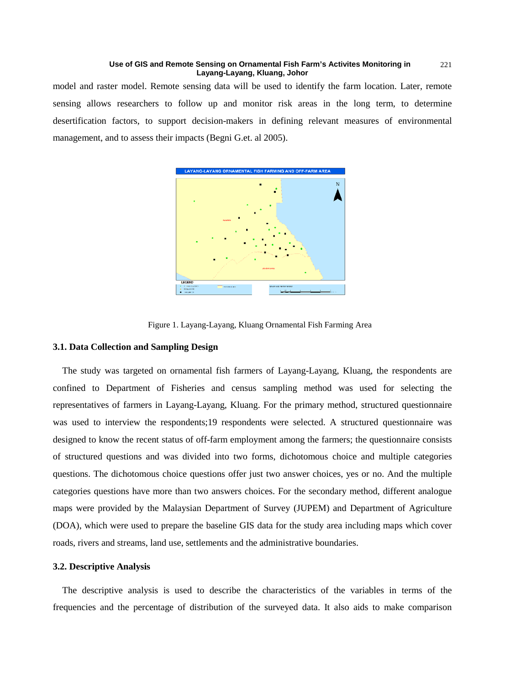model and raster model. Remote sensing data will be used to identify the farm location. Later, remote sensing allows researchers to follow up and monitor risk areas in the long term, to determine desertification factors, to support decision-makers in defining relevant measures of environmental management, and to assess their impacts (Begni G.et. al 2005).





## **3.1. Data Collection and Sampling Design**

The study was targeted on ornamental fish farmers of Layang-Layang, Kluang, the respondents are confined to Department of Fisheries and census sampling method was used for selecting the representatives of farmers in Layang-Layang, Kluang. For the primary method, structured questionnaire was used to interview the respondents;19 respondents were selected. A structured questionnaire was designed to know the recent status of off-farm employment among the farmers; the questionnaire consists of structured questions and was divided into two forms, dichotomous choice and multiple categories questions. The dichotomous choice questions offer just two answer choices, yes or no. And the multiple categories questions have more than two answers choices. For the secondary method, different analogue maps were provided by the Malaysian Department of Survey (JUPEM) and Department of Agriculture (DOA), which were used to prepare the baseline GIS data for the study area including maps which cover roads, rivers and streams, land use, settlements and the administrative boundaries.

## **3.2. Descriptive Analysis**

The descriptive analysis is used to describe the characteristics of the variables in terms of the frequencies and the percentage of distribution of the surveyed data. It also aids to make comparison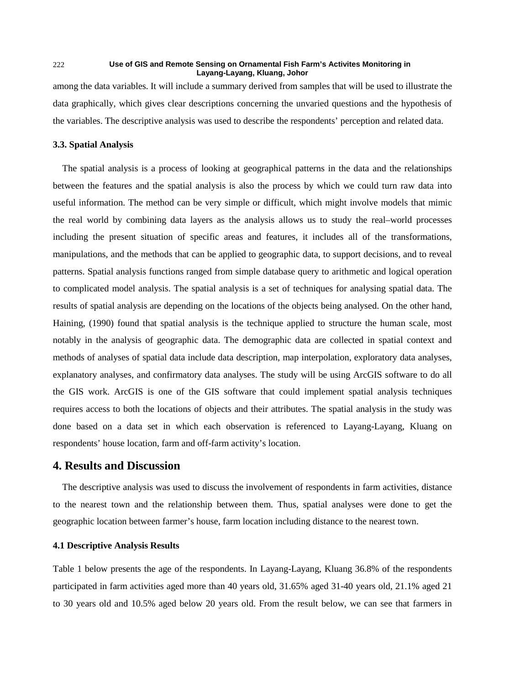among the data variables. It will include a summary derived from samples that will be used to illustrate the data graphically, which gives clear descriptions concerning the unvaried questions and the hypothesis of the variables. The descriptive analysis was used to describe the respondents' perception and related data.

## **3.3. Spatial Analysis**

The spatial analysis is a process of looking at geographical patterns in the data and the relationships between the features and the spatial analysis is also the process by which we could turn raw data into useful information. The method can be very simple or difficult, which might involve models that mimic the real world by combining data layers as the analysis allows us to study the real–world processes including the present situation of specific areas and features, it includes all of the transformations, manipulations, and the methods that can be applied to geographic data, to support decisions, and to reveal patterns. Spatial analysis functions ranged from simple database query to arithmetic and logical operation to complicated model analysis. The spatial analysis is a set of techniques for analysing spatial data. The results of spatial analysis are depending on the locations of the objects being analysed. On the other hand, Haining, (1990) found that spatial analysis is the technique applied to structure the human scale, most notably in the analysis of geographic data. The demographic data are collected in spatial context and methods of analyses of spatial data include data description, map interpolation, exploratory data analyses, explanatory analyses, and confirmatory data analyses. The study will be using ArcGIS software to do all the GIS work. ArcGIS is one of the GIS software that could implement spatial analysis techniques requires access to both the locations of objects and their attributes. The spatial analysis in the study was done based on a data set in which each observation is referenced to Layang-Layang, Kluang on respondents' house location, farm and off-farm activity's location.

## **4. Results and Discussion**

The descriptive analysis was used to discuss the involvement of respondents in farm activities, distance to the nearest town and the relationship between them. Thus, spatial analyses were done to get the geographic location between farmer's house, farm location including distance to the nearest town.

## **4.1 Descriptive Analysis Results**

Table 1 below presents the age of the respondents. In Layang-Layang, Kluang 36.8% of the respondents participated in farm activities aged more than 40 years old, 31.65% aged 31-40 years old, 21.1% aged 21 to 30 years old and 10.5% aged below 20 years old. From the result below, we can see that farmers in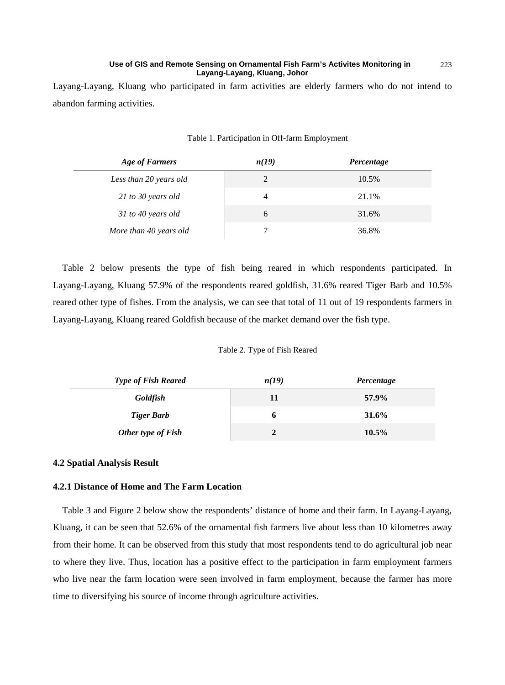Layang-Layang, Kluang who participated in farm activities are elderly farmers who do not intend to abandon farming activities.

| <b>Age of Farmers</b>  | n(19) | Percentage |
|------------------------|-------|------------|
| Less than 20 years old | 2     | 10.5%      |
| 21 to 30 years old     | 4     | 21.1%      |
| 31 to 40 years old     | 6     | 31.6%      |
| More than 40 years old |       | 36.8%      |

#### Table 1. Participation in Off-farm Employment

Table 2 below presents the type of fish being reared in which respondents participated. In Layang-Layang, Kluang 57.9% of the respondents reared goldfish, 31.6% reared Tiger Barb and 10.5% reared other type of fishes. From the analysis, we can see that total of 11 out of 19 respondents farmers in Layang-Layang, Kluang reared Goldfish because of the market demand over the fish type.

## Table 2. Type of Fish Reared

| <b>Type of Fish Reared</b> | n(19)          | Percentage |
|----------------------------|----------------|------------|
| <b>Goldfish</b>            | 11             | 57.9%      |
| <b>Tiger Barb</b>          | o              | 31.6%      |
| Other type of Fish         | $\overline{2}$ | 10.5%      |

## **4.2 Spatial Analysis Result**

## **4.2.1 Distance of Home and The Farm Location**

Table 3 and Figure 2 below show the respondents' distance of home and their farm. In Layang-Layang, Kluang, it can be seen that 52.6% of the ornamental fish farmers live about less than 10 kilometres away from their home. It can be observed from this study that most respondents tend to do agricultural job near to where they live. Thus, location has a positive effect to the participation in farm employment farmers who live near the farm location were seen involved in farm employment, because the farmer has more time to diversifying his source of income through agriculture activities.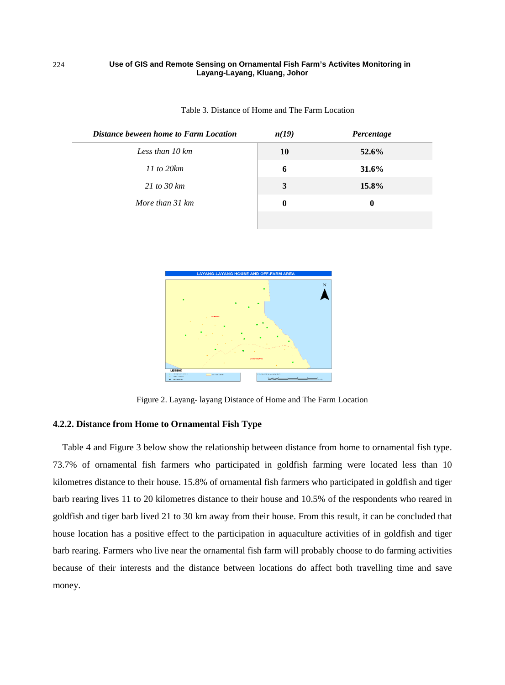| Distance beween home to Farm Location | n(19)    | Percentage |
|---------------------------------------|----------|------------|
| Less than 10 km                       | 10       | 52.6%      |
| $11$ to $20km$                        | 6        | 31.6%      |
| 21 to 30 $km$                         | 3        | 15.8%      |
| More than 31 km                       | $\bf{0}$ | $\bf{0}$   |
|                                       |          |            |

Table 3. Distance of Home and The Farm Location



Figure 2. Layang- layang Distance of Home and The Farm Location

## **4.2.2. Distance from Home to Ornamental Fish Type**

Table 4 and Figure 3 below show the relationship between distance from home to ornamental fish type. 73.7% of ornamental fish farmers who participated in goldfish farming were located less than 10 kilometres distance to their house. 15.8% of ornamental fish farmers who participated in goldfish and tiger barb rearing lives 11 to 20 kilometres distance to their house and 10.5% of the respondents who reared in goldfish and tiger barb lived 21 to 30 km away from their house. From this result, it can be concluded that house location has a positive effect to the participation in aquaculture activities of in goldfish and tiger barb rearing. Farmers who live near the ornamental fish farm will probably choose to do farming activities because of their interests and the distance between locations do affect both travelling time and save money.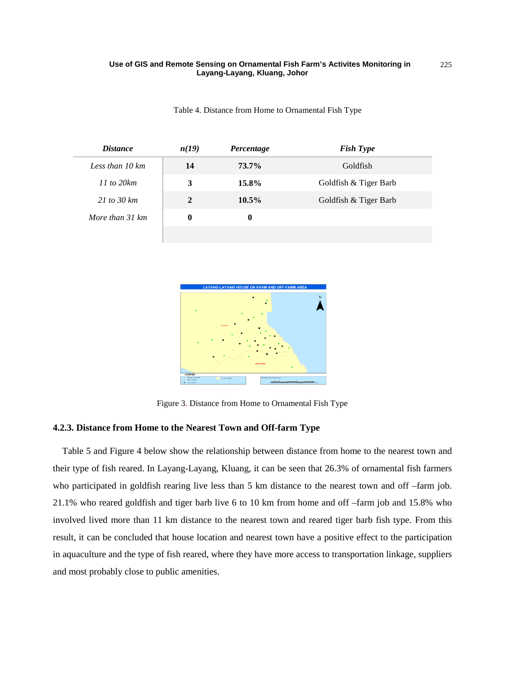| <i>Distance</i> | n(19)        | Percentage | <b>Fish Type</b>      |
|-----------------|--------------|------------|-----------------------|
| Less than 10 km | 14           | 73.7%      | Goldfish              |
| $11$ to $20km$  | 3            | 15.8%      | Goldfish & Tiger Barb |
| 21 to 30 $km$   | $\mathbf{2}$ | $10.5\%$   | Goldfish & Tiger Barb |
| More than 31 km | 0            | $\bf{0}$   |                       |
|                 |              |            |                       |

Table 4. Distance from Home to Ornamental Fish Type



Figure 3. Distance from Home to Ornamental Fish Type

## **4.2.3. Distance from Home to the Nearest Town and Off-farm Type**

Table 5 and Figure 4 below show the relationship between distance from home to the nearest town and their type of fish reared. In Layang-Layang, Kluang, it can be seen that 26.3% of ornamental fish farmers who participated in goldfish rearing live less than 5 km distance to the nearest town and off –farm job. 21.1% who reared goldfish and tiger barb live 6 to 10 km from home and off –farm job and 15.8% who involved lived more than 11 km distance to the nearest town and reared tiger barb fish type. From this result, it can be concluded that house location and nearest town have a positive effect to the participation in aquaculture and the type of fish reared, where they have more access to transportation linkage, suppliers and most probably close to public amenities.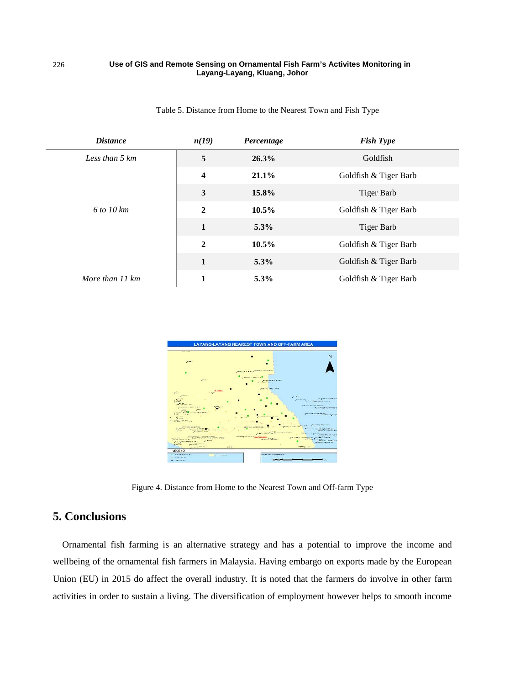| <b>Distance</b> | n(19)                   | Percentage | <b>Fish Type</b>      |
|-----------------|-------------------------|------------|-----------------------|
| Less than 5 km  | 5                       | 26.3%      | Goldfish              |
|                 | $\overline{\mathbf{4}}$ | $21.1\%$   | Goldfish & Tiger Barb |
|                 | 3                       | 15.8%      | Tiger Barb            |
| 6 to 10 km      | $\overline{2}$          | $10.5\%$   | Goldfish & Tiger Barb |
|                 | $\mathbf{1}$            | 5.3%       | Tiger Barb            |
|                 | $\overline{2}$          | $10.5\%$   | Goldfish & Tiger Barb |
|                 | 1                       | 5.3%       | Goldfish & Tiger Barb |
| More than 11 km |                         | 5.3%       | Goldfish & Tiger Barb |

Table 5. Distance from Home to the Nearest Town and Fish Type



Figure 4. Distance from Home to the Nearest Town and Off-farm Type

# **5. Conclusions**

Ornamental fish farming is an alternative strategy and has a potential to improve the income and wellbeing of the ornamental fish farmers in Malaysia. Having embargo on exports made by the European Union (EU) in 2015 do affect the overall industry. It is noted that the farmers do involve in other farm activities in order to sustain a living. The diversification of employment however helps to smooth income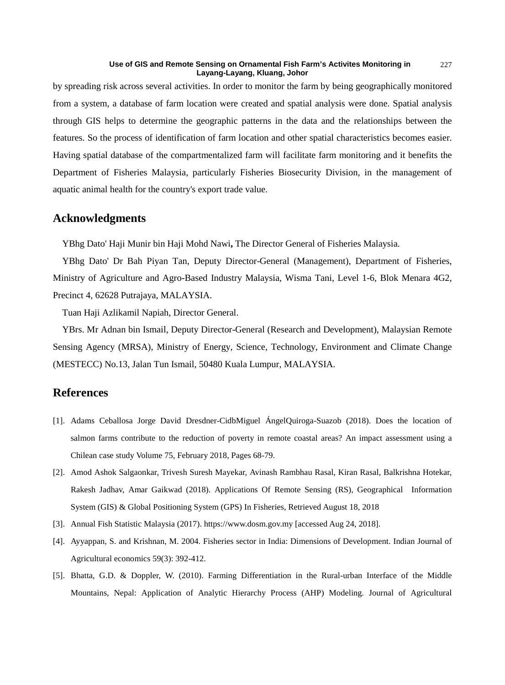by spreading risk across several activities. In order to monitor the farm by being geographically monitored from a system, a database of farm location were created and spatial analysis were done. Spatial analysis through GIS helps to determine the geographic patterns in the data and the relationships between the features. So the process of identification of farm location and other spatial characteristics becomes easier. Having spatial database of the compartmentalized farm will facilitate farm monitoring and it benefits the Department of Fisheries Malaysia, particularly Fisheries Biosecurity Division, in the management of aquatic animal health for the country's export trade value.

## **Acknowledgments**

YBhg Dato' Haji Munir bin Haji Mohd Nawi**,** The Director General of Fisheries Malaysia.

YBhg Dato' Dr Bah Piyan Tan, Deputy Director-General (Management), Department of Fisheries, Ministry of Agriculture and Agro-Based Industry Malaysia, Wisma Tani, Level 1-6, Blok Menara 4G2, Precinct 4, 62628 Putrajaya, MALAYSIA.

Tuan Haji Azlikamil Napiah, Director General.

YBrs. Mr Adnan bin Ismail, Deputy Director-General (Research and Development), Malaysian Remote Sensing Agency (MRSA), Ministry of Energy, Science, Technology, Environment and Climate Change (MESTECC) No.13, Jalan Tun Ismail, 50480 Kuala Lumpur, MALAYSIA.

# **References**

- [1]. Adams Ceballosa Jorge David Dresdner-CidbMiguel ÁngelQuiroga-Suazob (2018). Does the location of salmon farms contribute to the reduction of poverty in remote coastal areas? An impact assessment using a Chilean case study Volume 75, February 2018, Pages 68-79.
- [2]. Amod Ashok Salgaonkar, Trivesh Suresh Mayekar, Avinash Rambhau Rasal, Kiran Rasal, Balkrishna Hotekar, Rakesh Jadhav, Amar Gaikwad (2018). Applications Of Remote Sensing (RS), Geographical Information System (GIS) & Global Positioning System (GPS) In Fisheries, Retrieved August 18, 2018
- [3]. Annual Fish Statistic Malaysia (2017). https://www.dosm.gov.my [accessed Aug 24, 2018].
- [4]. Ayyappan, S. and Krishnan, M. 2004. Fisheries sector in India: Dimensions of Development. Indian Journal of Agricultural economics 59(3): 392-412.
- [5]. Bhatta, G.D. & Doppler, W. (2010). Farming Differentiation in the Rural-urban Interface of the Middle Mountains, Nepal: Application of Analytic Hierarchy Process (AHP) Modeling. Journal of Agricultural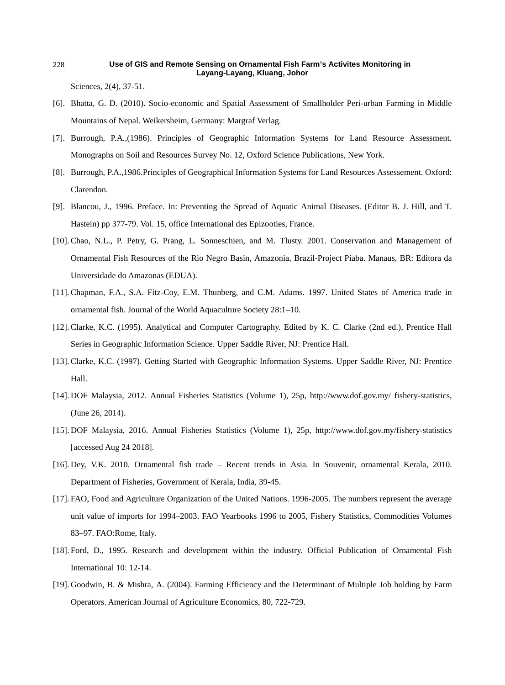Sciences, 2(4), 37-51.

- [6]. Bhatta, G. D. (2010). Socio-economic and Spatial Assessment of Smallholder Peri-urban Farming in Middle Mountains of Nepal. Weikersheim, Germany: Margraf Verlag.
- [7]. Burrough, P.A.,(1986). Principles of Geographic Information Systems for Land Resource Assessment. Monographs on Soil and Resources Survey No. 12, Oxford Science Publications, New York.
- [8]. Burrough, P.A.,1986.Principles of Geographical Information Systems for Land Resources Assessement. Oxford: Clarendon.
- [9]. Blancou, J., 1996. Preface. In: Preventing the Spread of Aquatic Animal Diseases. (Editor B. J. Hill, and T. Hastein) pp 377-79. Vol. 15, office International des Epizooties, France.
- [10]. Chao, N.L., P. Petry, G. Prang, L. Sonneschien, and M. Tlusty. 2001. Conservation and Management of Ornamental Fish Resources of the Rio Negro Basin, Amazonia, Brazil-Project Piaba. Manaus, BR: Editora da Universidade do Amazonas (EDUA).
- [11]. Chapman, F.A., S.A. Fitz-Coy, E.M. Thunberg, and C.M. Adams. 1997. United States of America trade in ornamental fish. Journal of the World Aquaculture Society 28:1–10.
- [12]. Clarke, K.C. (1995). Analytical and Computer Cartography. Edited by K. C. Clarke (2nd ed.), Prentice Hall Series in Geographic Information Science. Upper Saddle River, NJ: Prentice Hall.
- [13]. Clarke, K.C. (1997). Getting Started with Geographic Information Systems. Upper Saddle River, NJ: Prentice Hall.
- [14]. DOF Malaysia, 2012. Annual Fisheries Statistics (Volume 1), 25p, http://www.dof.gov.my/ fishery-statistics, (June 26, 2014).
- [15]. DOF Malaysia, 2016. Annual Fisheries Statistics (Volume 1), 25p, http://www.dof.gov.my/fishery-statistics [accessed Aug 24 2018].
- [16]. Dey, V.K. 2010. Ornamental fish trade Recent trends in Asia. In Souvenir, ornamental Kerala, 2010. Department of Fisheries, Government of Kerala, India, 39-45.
- [17]. FAO, Food and Agriculture Organization of the United Nations. 1996-2005. The numbers represent the average unit value of imports for 1994–2003. FAO Yearbooks 1996 to 2005, Fishery Statistics, Commodities Volumes 83–97. FAO:Rome, Italy.
- [18]. Ford, D., 1995. Research and development within the industry. Official Publication of Ornamental Fish International 10: 12-14.
- [19]. Goodwin, B. & Mishra, A. (2004). Farming Efficiency and the Determinant of Multiple Job holding by Farm Operators. American Journal of Agriculture Economics, 80, 722-729.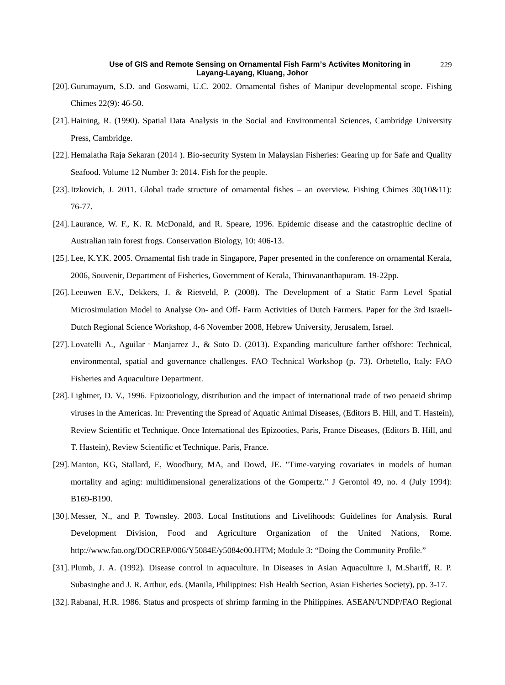- [20]. Gurumayum, S.D. and Goswami, U.C. 2002. Ornamental fishes of Manipur developmental scope. Fishing Chimes 22(9): 46-50.
- [21]. Haining, R. (1990). Spatial Data Analysis in the Social and Environmental Sciences, Cambridge University Press, Cambridge.
- [22]. Hemalatha Raja Sekaran (2014 ). Bio-security System in Malaysian Fisheries: Gearing up for Safe and Quality Seafood. Volume 12 Number 3: 2014. Fish for the people.
- [23]. Itzkovich, J. 2011. Global trade structure of ornamental fishes an overview. Fishing Chimes 30(10&11): 76-77.
- [24]. Laurance, W. F., K. R. McDonald, and R. Speare, 1996. Epidemic disease and the catastrophic decline of Australian rain forest frogs. Conservation Biology, 10: 406-13.
- [25]. Lee, K.Y.K. 2005. Ornamental fish trade in Singapore, Paper presented in the conference on ornamental Kerala, 2006, Souvenir, Department of Fisheries, Government of Kerala, Thiruvananthapuram. 19-22pp.
- [26]. Leeuwen E.V., Dekkers, J. & Rietveld, P. (2008). The Development of a Static Farm Level Spatial Microsimulation Model to Analyse On- and Off- Farm Activities of Dutch Farmers. Paper for the 3rd Israeli-Dutch Regional Science Workshop, 4-6 November 2008, Hebrew University, Jerusalem, Israel.
- [27]. Lovatelli A., Aguilar Manjarrez J., & Soto D. (2013). Expanding mariculture farther offshore: Technical, environmental, spatial and governance challenges. FAO Technical Workshop (p. 73). Orbetello, Italy: FAO Fisheries and Aquaculture Department.
- [28]. Lightner, D. V., 1996. Epizootiology, distribution and the impact of international trade of two penaeid shrimp viruses in the Americas. In: Preventing the Spread of Aquatic Animal Diseases, (Editors B. Hill, and T. Hastein), Review Scientific et Technique. Once International des Epizooties, Paris, France Diseases, (Editors B. Hill, and T. Hastein), Review Scientific et Technique. Paris, France.
- [29]. Manton, KG, Stallard, E, Woodbury, MA, and Dowd, JE. "Time-varying covariates in models of human mortality and aging: multidimensional generalizations of the Gompertz." J Gerontol 49, no. 4 (July 1994): B169-B190.
- [30]. Messer, N., and P. Townsley. 2003. Local Institutions and Livelihoods: Guidelines for Analysis. Rural Development Division, Food and Agriculture Organization of the United Nations, Rome. http://www.fao.org/DOCREP/006/Y5084E/y5084e00.HTM; Module 3: "Doing the Community Profile."
- [31]. Plumb, J. A. (1992). Disease control in aquaculture. In Diseases in Asian Aquaculture I, M.Shariff, R. P. Subasinghe and J. R. Arthur, eds. (Manila, Philippines: Fish Health Section, Asian Fisheries Society), pp. 3-17.
- [32]. Rabanal, H.R. 1986. Status and prospects of shrimp farming in the Philippines. ASEAN/UNDP/FAO Regional